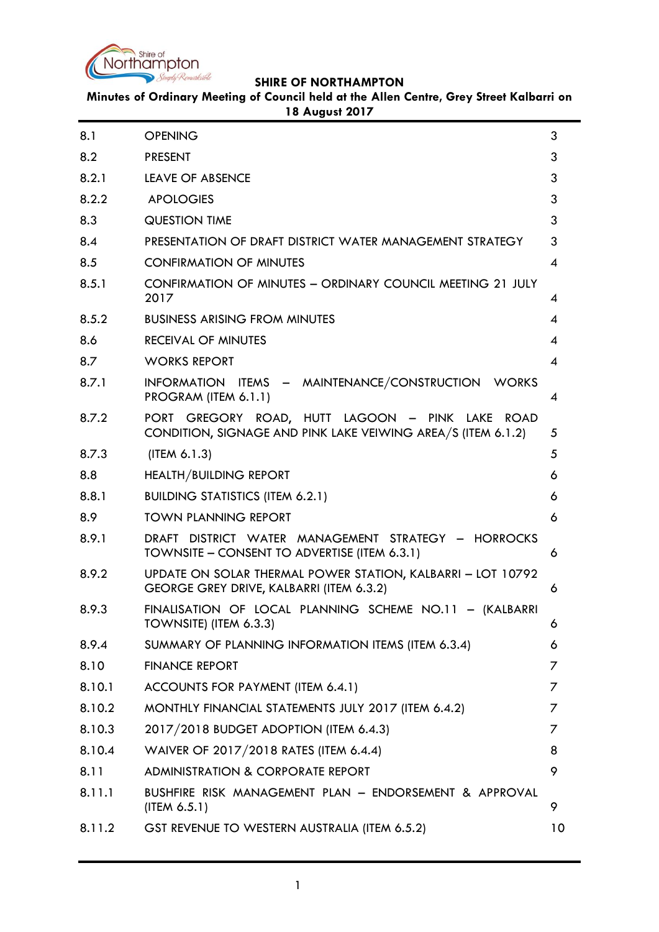

**Minutes of Ordinary Meeting of Council held at the Allen Centre, Grey Street Kalbarri on 18 August 2017**

| 8.1    | <b>OPENING</b>                                                                                                  | 3               |
|--------|-----------------------------------------------------------------------------------------------------------------|-----------------|
| 8.2    | <b>PRESENT</b>                                                                                                  | 3               |
| 8.2.1  | LEAVE OF ABSENCE                                                                                                | 3               |
| 8.2.2  | <b>APOLOGIES</b>                                                                                                | 3               |
| 8.3    | <b>QUESTION TIME</b>                                                                                            | 3               |
| 8.4    | PRESENTATION OF DRAFT DISTRICT WATER MANAGEMENT STRATEGY                                                        | 3               |
| 8.5    | <b>CONFIRMATION OF MINUTES</b>                                                                                  | 4               |
| 8.5.1  | CONFIRMATION OF MINUTES - ORDINARY COUNCIL MEETING 21 JULY<br>2017                                              | 4               |
| 8.5.2  | <b>BUSINESS ARISING FROM MINUTES</b>                                                                            | 4               |
| 8.6    | <b>RECEIVAL OF MINUTES</b>                                                                                      | 4               |
| 8.7    | <b>WORKS REPORT</b>                                                                                             | 4               |
| 8.7.1  | INFORMATION ITEMS - MAINTENANCE/CONSTRUCTION WORKS<br>PROGRAM (ITEM 6.1.1)                                      | 4               |
| 8.7.2  | PORT GREGORY ROAD, HUTT LAGOON - PINK LAKE ROAD<br>CONDITION, SIGNAGE AND PINK LAKE VEIWING AREA/S (ITEM 6.1.2) | 5               |
| 8.7.3  | (ITER 6.1.3)                                                                                                    | 5               |
| 8.8    | <b>HEALTH/BUILDING REPORT</b>                                                                                   | 6               |
| 8.8.1  | <b>BUILDING STATISTICS (ITEM 6.2.1)</b>                                                                         | 6               |
| 8.9    | <b>TOWN PLANNING REPORT</b>                                                                                     | 6               |
| 8.9.1  | DRAFT DISTRICT WATER MANAGEMENT STRATEGY - HORROCKS<br>TOWNSITE - CONSENT TO ADVERTISE (ITEM 6.3.1)             | 6               |
| 8.9.2  | UPDATE ON SOLAR THERMAL POWER STATION, KALBARRI - LOT 10792<br>GEORGE GREY DRIVE, KALBARRI (ITEM 6.3.2)         | 6               |
| 8.9.3  | FINALISATION OF LOCAL PLANNING SCHEME NO.11 - (KALBARRI<br>TOWNSITE) (ITEM 6.3.3)                               | 6               |
| 8.9.4  | SUMMARY OF PLANNING INFORMATION ITEMS (ITEM 6.3.4)                                                              | 6               |
| 8.10   | <b>FINANCE REPORT</b>                                                                                           | 7               |
| 8.10.1 | ACCOUNTS FOR PAYMENT (ITEM 6.4.1)                                                                               | 7               |
| 8.10.2 | MONTHLY FINANCIAL STATEMENTS JULY 2017 (ITEM 6.4.2)                                                             | 7               |
| 8.10.3 | 2017/2018 BUDGET ADOPTION (ITEM 6.4.3)                                                                          | 7               |
| 8.10.4 | WAIVER OF 2017/2018 RATES (ITEM 6.4.4)                                                                          | 8               |
| 8.11   | <b>ADMINISTRATION &amp; CORPORATE REPORT</b>                                                                    | 9               |
| 8.11.1 | BUSHFIRE RISK MANAGEMENT PLAN - ENDORSEMENT & APPROVAL<br>$($ ITEM $6.5.1)$                                     | 9               |
| 8.11.2 | GST REVENUE TO WESTERN AUSTRALIA (ITEM 6.5.2)                                                                   | 10 <sup>°</sup> |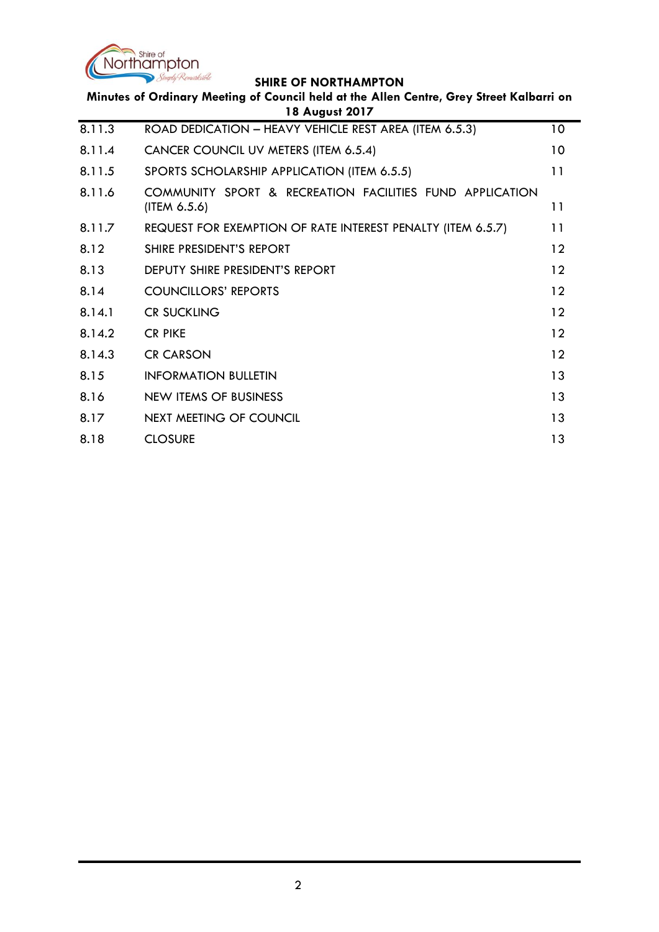

|        | Minutes of Ordinary Meeting of Council held at the Allen Centre, Grey Street Kalbarri on<br>18 August 2017 |    |
|--------|------------------------------------------------------------------------------------------------------------|----|
| 8.11.3 | ROAD DEDICATION - HEAVY VEHICLE REST AREA (ITEM 6.5.3)                                                     | 10 |
| 8.11.4 | CANCER COUNCIL UV METERS (ITEM 6.5.4)                                                                      | 10 |
| 8.11.5 | SPORTS SCHOLARSHIP APPLICATION (ITEM 6.5.5)                                                                | 11 |
| 8.11.6 | COMMUNITY SPORT & RECREATION FACILITIES FUND APPLICATION<br>(ITERA 6.5.6)                                  | 11 |
| 8.11.7 | REQUEST FOR EXEMPTION OF RATE INTEREST PENALTY (ITEM 6.5.7)                                                | 11 |
| 8.12   | SHIRE PRESIDENT'S REPORT                                                                                   | 12 |
| 8.13   | DEPUTY SHIRE PRESIDENT'S REPORT                                                                            | 12 |
| 8.14   | <b>COUNCILLORS' REPORTS</b>                                                                                | 12 |
| 8.14.1 | <b>CR SUCKLING</b>                                                                                         | 12 |
| 8.14.2 | <b>CR PIKE</b>                                                                                             | 12 |
| 8.14.3 | <b>CR CARSON</b>                                                                                           | 12 |
| 8.15   | <b>INFORMATION BULLETIN</b>                                                                                | 13 |
| 8.16   | <b>NEW ITEMS OF BUSINESS</b>                                                                               | 13 |
| 8.17   | <b>NEXT MEETING OF COUNCIL</b>                                                                             | 13 |
| 8.18   | <b>CLOSURE</b>                                                                                             | 13 |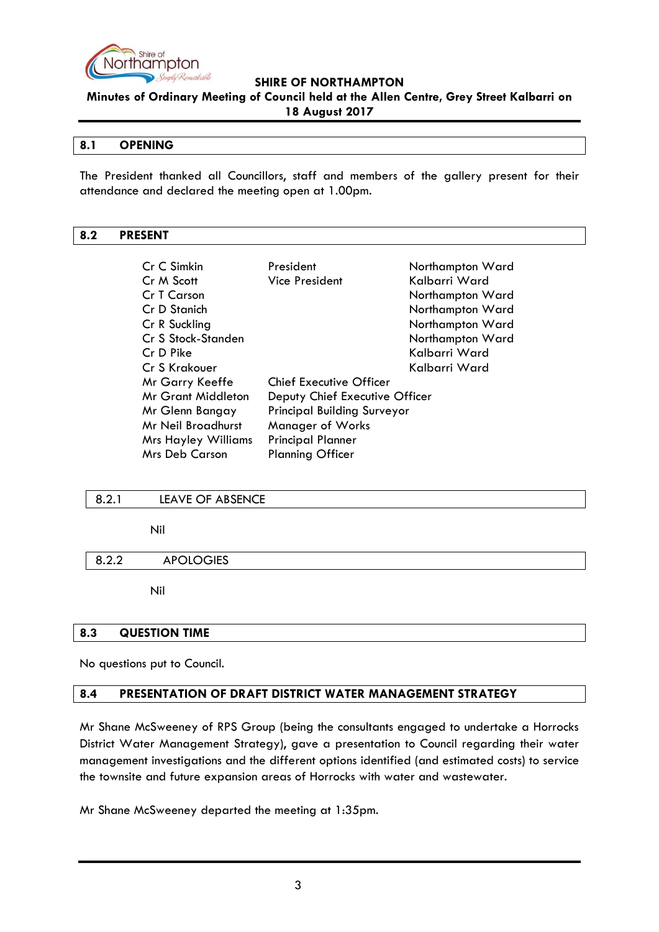

**Minutes of Ordinary Meeting of Council held at the Allen Centre, Grey Street Kalbarri on 18 August 2017**

### <span id="page-2-0"></span>**8.1 OPENING**

The President thanked all Councillors, staff and members of the gallery present for their attendance and declared the meeting open at 1.00pm.

## <span id="page-2-1"></span>**8.2 PRESENT**

| Cr C Simkin                | President                          | Northampton Ward |
|----------------------------|------------------------------------|------------------|
| Cr M Scott                 | <b>Vice President</b>              | Kalbarri Ward    |
| Cr T Carson                |                                    | Northampton Ward |
| Cr D Stanich               |                                    | Northampton Ward |
| Cr R Suckling              |                                    | Northampton Ward |
| Cr S Stock-Standen         |                                    | Northampton Ward |
| Cr D Pike                  |                                    | Kalbarri Ward    |
| Cr S Krakouer              |                                    | Kalbarri Ward    |
| Mr Garry Keeffe            | <b>Chief Executive Officer</b>     |                  |
| <b>Mr Grant Middleton</b>  | Deputy Chief Executive Officer     |                  |
| Mr Glenn Bangay            | <b>Principal Building Surveyor</b> |                  |
| Mr Neil Broadhurst         | Manager of Works                   |                  |
| <b>Mrs Hayley Williams</b> | <b>Principal Planner</b>           |                  |
| <b>Mrs Deb Carson</b>      | <b>Planning Officer</b>            |                  |

### <span id="page-2-2"></span>8.2.1 LEAVE OF ABSENCE

Nil

### <span id="page-2-3"></span>8.2.2 APOLOGIES

Nil

### <span id="page-2-4"></span>**8.3 QUESTION TIME**

No questions put to Council.

# <span id="page-2-5"></span>**8.4 PRESENTATION OF DRAFT DISTRICT WATER MANAGEMENT STRATEGY**

Mr Shane McSweeney of RPS Group (being the consultants engaged to undertake a Horrocks District Water Management Strategy), gave a presentation to Council regarding their water management investigations and the different options identified (and estimated costs) to service the townsite and future expansion areas of Horrocks with water and wastewater.

Mr Shane McSweeney departed the meeting at 1:35pm.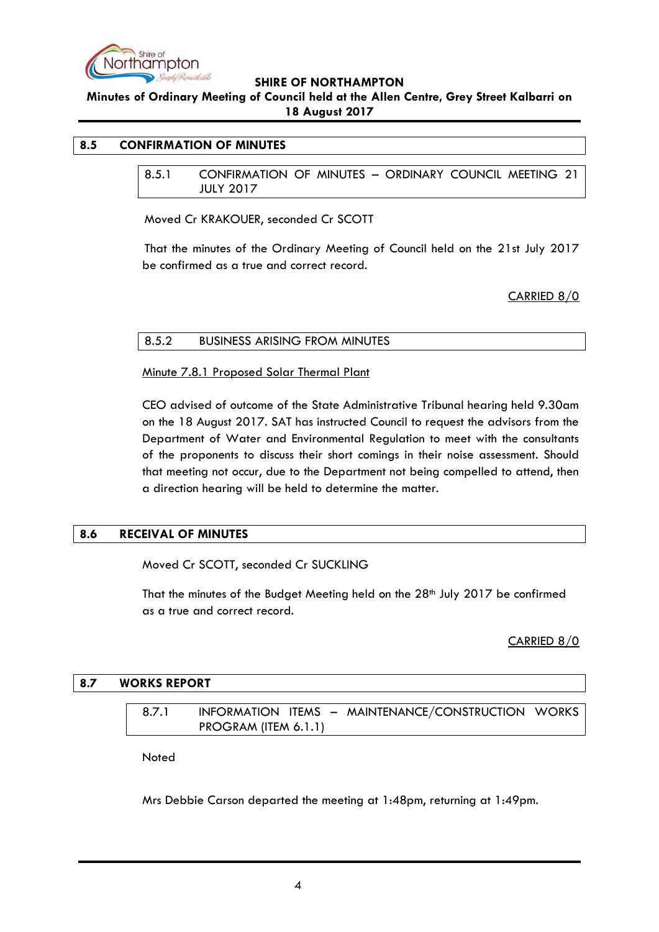

**Minutes of Ordinary Meeting of Council held at the Allen Centre, Grey Street Kalbarri on 18 August 2017**

## <span id="page-3-1"></span><span id="page-3-0"></span>**8.5 CONFIRMATION OF MINUTES**

8.5.1 CONFIRMATION OF MINUTES – ORDINARY COUNCIL MEETING 21 JULY 2017

Moved Cr KRAKOUER, seconded Cr SCOTT

That the minutes of the Ordinary Meeting of Council held on the 21st July 2017 be confirmed as a true and correct record.

CARRIED 8/0

### <span id="page-3-2"></span>8.5.2 BUSINESS ARISING FROM MINUTES

Minute 7.8.1 Proposed Solar Thermal Plant

CEO advised of outcome of the State Administrative Tribunal hearing held 9.30am on the 18 August 2017. SAT has instructed Council to request the advisors from the Department of Water and Environmental Regulation to meet with the consultants of the proponents to discuss their short comings in their noise assessment. Should that meeting not occur, due to the Department not being compelled to attend, then a direction hearing will be held to determine the matter.

# <span id="page-3-3"></span>**8.6 RECEIVAL OF MINUTES**

Moved Cr SCOTT, seconded Cr SUCKLING

That the minutes of the Budget Meeting held on the 28<sup>th</sup> July 2017 be confirmed as a true and correct record.

CARRIED 8/0

### <span id="page-3-5"></span><span id="page-3-4"></span>**8.7 WORKS REPORT**

8.7.1 INFORMATION ITEMS – MAINTENANCE/CONSTRUCTION WORKS PROGRAM (ITEM 6.1.1)

Noted

Mrs Debbie Carson departed the meeting at 1:48pm, returning at 1:49pm.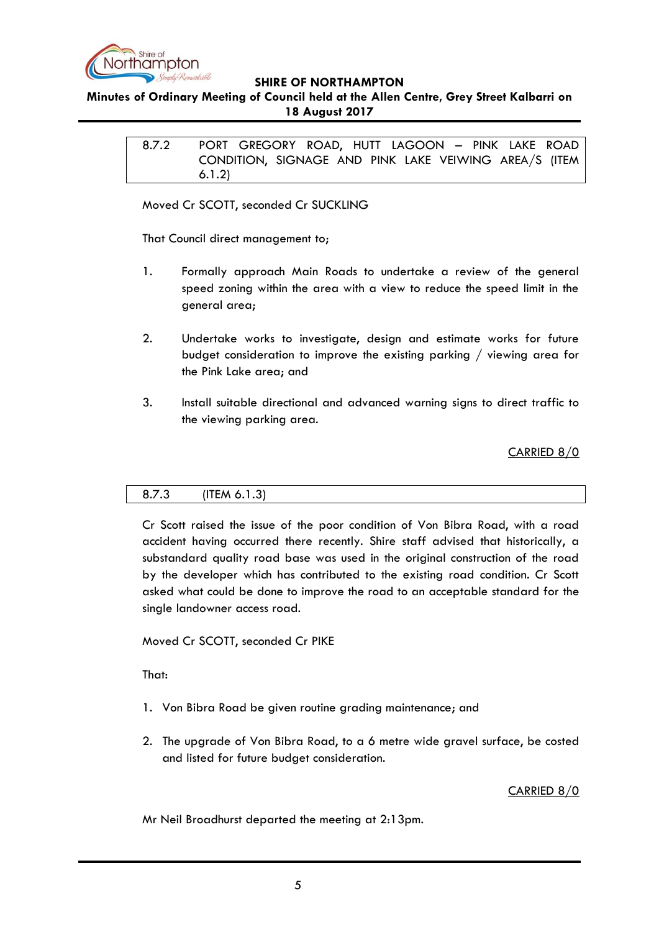

## <span id="page-4-0"></span>**Minutes of Ordinary Meeting of Council held at the Allen Centre, Grey Street Kalbarri on 18 August 2017**

8.7.2 PORT GREGORY ROAD, HUTT LAGOON – PINK LAKE ROAD CONDITION, SIGNAGE AND PINK LAKE VEIWING AREA/S (ITEM 6.1.2)

Moved Cr SCOTT, seconded Cr SUCKLING

That Council direct management to;

- 1. Formally approach Main Roads to undertake a review of the general speed zoning within the area with a view to reduce the speed limit in the general area;
- 2. Undertake works to investigate, design and estimate works for future budget consideration to improve the existing parking / viewing area for the Pink Lake area; and
- 3. Install suitable directional and advanced warning signs to direct traffic to the viewing parking area.

CARRIED 8/0

### <span id="page-4-1"></span>8.7.3 (ITEM 6.1.3)

Cr Scott raised the issue of the poor condition of Von Bibra Road, with a road accident having occurred there recently. Shire staff advised that historically, a substandard quality road base was used in the original construction of the road by the developer which has contributed to the existing road condition. Cr Scott asked what could be done to improve the road to an acceptable standard for the single landowner access road.

Moved Cr SCOTT, seconded Cr PIKE

That:

- 1. Von Bibra Road be given routine grading maintenance; and
- 2. The upgrade of Von Bibra Road, to a 6 metre wide gravel surface, be costed and listed for future budget consideration.

# CARRIED 8/0

Mr Neil Broadhurst departed the meeting at 2:13pm.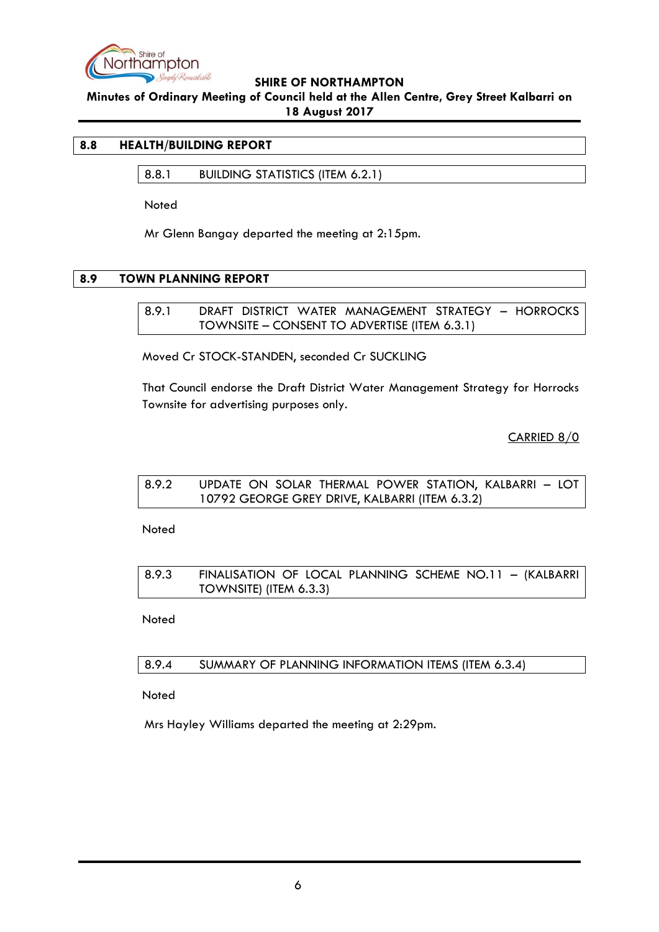

**Minutes of Ordinary Meeting of Council held at the Allen Centre, Grey Street Kalbarri on 18 August 2017**

### <span id="page-5-1"></span><span id="page-5-0"></span>**8.8 HEALTH/BUILDING REPORT**

8.8.1 BUILDING STATISTICS (ITEM 6.2.1)

Noted

Mr Glenn Bangay departed the meeting at 2:15pm.

### <span id="page-5-3"></span><span id="page-5-2"></span>**8.9 TOWN PLANNING REPORT**

8.9.1 DRAFT DISTRICT WATER MANAGEMENT STRATEGY – HORROCKS TOWNSITE – CONSENT TO ADVERTISE (ITEM 6.3.1)

Moved Cr STOCK-STANDEN, seconded Cr SUCKLING

That Council endorse the Draft District Water Management Strategy for Horrocks Townsite for advertising purposes only.

CARRIED 8/0

<span id="page-5-4"></span>

| 8.9.2 | UPDATE ON SOLAR THERMAL POWER STATION, KALBARRI - LOT |
|-------|-------------------------------------------------------|
|       | 10792 GEORGE GREY DRIVE, KALBARRI (ITEM 6.3.2)        |

Noted

<span id="page-5-5"></span>

| 8.9.3 | FINALISATION OF LOCAL PLANNING SCHEME NO.11 - (KALBARRI |
|-------|---------------------------------------------------------|
|       | TOWNSITE) (ITEM 6.3.3)                                  |

Noted

<span id="page-5-6"></span>8.9.4 SUMMARY OF PLANNING INFORMATION ITEMS (ITEM 6.3.4)

Noted

Mrs Hayley Williams departed the meeting at 2:29pm.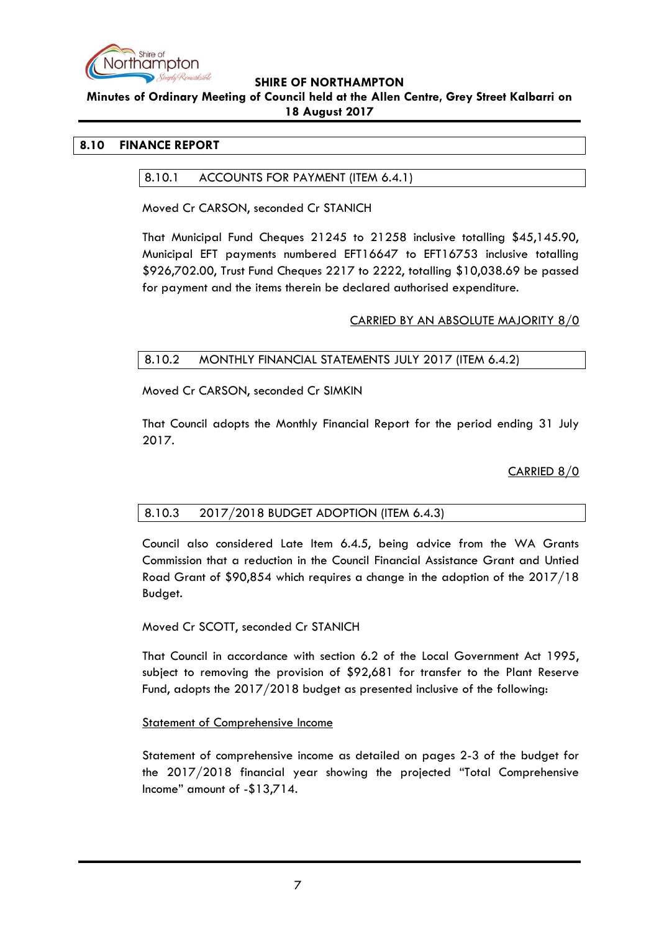

### **Minutes of Ordinary Meeting of Council held at the Allen Centre, Grey Street Kalbarri on 18 August 2017**

## <span id="page-6-1"></span><span id="page-6-0"></span>**8.10 FINANCE REPORT**

## 8.10.1 ACCOUNTS FOR PAYMENT (ITEM 6.4.1)

Moved Cr CARSON, seconded Cr STANICH

That Municipal Fund Cheques 21245 to 21258 inclusive totalling \$45,145.90, Municipal EFT payments numbered EFT16647 to EFT16753 inclusive totalling \$926,702.00, Trust Fund Cheques 2217 to 2222, totalling \$10,038.69 be passed for payment and the items therein be declared authorised expenditure.

# CARRIED BY AN ABSOLUTE MAJORITY 8/0

# <span id="page-6-2"></span>8.10.2 MONTHLY FINANCIAL STATEMENTS JULY 2017 (ITEM 6.4.2)

Moved Cr CARSON, seconded Cr SIMKIN

That Council adopts the Monthly Financial Report for the period ending 31 July 2017.

CARRIED 8/0

# <span id="page-6-3"></span>8.10.3 2017/2018 BUDGET ADOPTION (ITEM 6.4.3)

Council also considered Late Item 6.4.5, being advice from the WA Grants Commission that a reduction in the Council Financial Assistance Grant and Untied Road Grant of \$90,854 which requires a change in the adoption of the 2017/18 Budget.

### Moved Cr SCOTT, seconded Cr STANICH

That Council in accordance with section 6.2 of the Local Government Act 1995, subject to removing the provision of \$92,681 for transfer to the Plant Reserve Fund, adopts the 2017/2018 budget as presented inclusive of the following:

### Statement of Comprehensive Income

Statement of comprehensive income as detailed on pages 2-3 of the budget for the 2017/2018 financial year showing the projected "Total Comprehensive Income" amount of -\$13,714.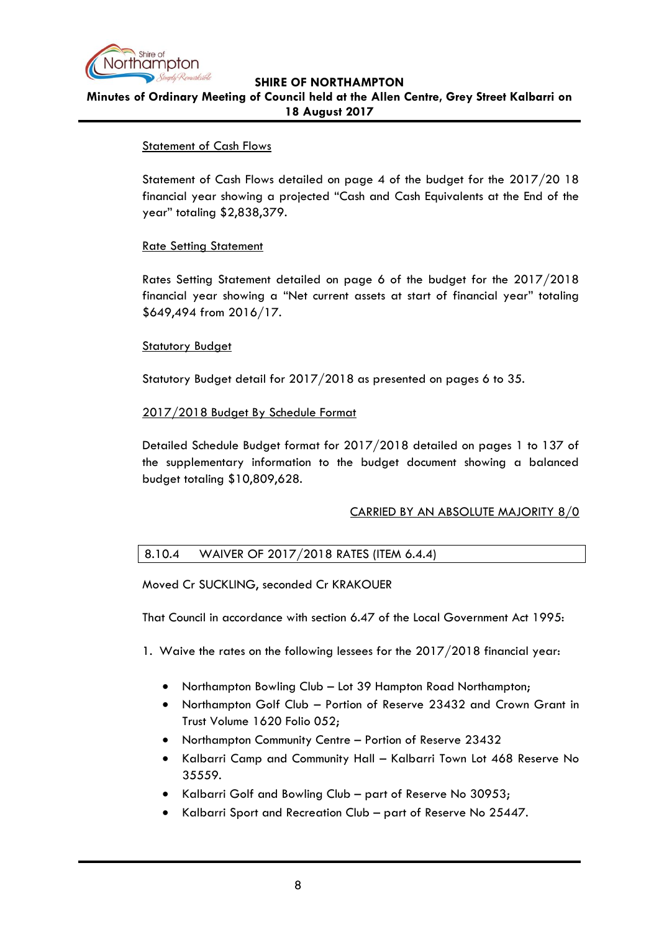

# **SHIRE OF NORTHAMPTON Minutes of Ordinary Meeting of Council held at the Allen Centre, Grey Street Kalbarri on 18 August 2017**

# Statement of Cash Flows

Statement of Cash Flows detailed on page 4 of the budget for the 2017/20 18 financial year showing a projected "Cash and Cash Equivalents at the End of the year" totaling \$2,838,379.

# Rate Setting Statement

Rates Setting Statement detailed on page 6 of the budget for the 2017/2018 financial year showing a "Net current assets at start of financial year" totaling \$649,494 from 2016/17.

# **Statutory Budget**

Statutory Budget detail for 2017/2018 as presented on pages 6 to 35.

# 2017/2018 Budget By Schedule Format

Detailed Schedule Budget format for 2017/2018 detailed on pages 1 to 137 of the supplementary information to the budget document showing a balanced budget totaling \$10,809,628.

# CARRIED BY AN ABSOLUTE MAJORITY 8/0

# <span id="page-7-0"></span>8.10.4 WAIVER OF 2017/2018 RATES (ITEM 6.4.4)

Moved Cr SUCKLING, seconded Cr KRAKOUER

That Council in accordance with section 6.47 of the Local Government Act 1995:

1. Waive the rates on the following lessees for the 2017/2018 financial year:

- Northampton Bowling Club Lot 39 Hampton Road Northampton;
- Northampton Golf Club Portion of Reserve 23432 and Crown Grant in Trust Volume 1620 Folio 052;
- Northampton Community Centre Portion of Reserve 23432
- Kalbarri Camp and Community Hall Kalbarri Town Lot 468 Reserve No 35559.
- Kalbarri Golf and Bowling Club part of Reserve No 30953;
- Kalbarri Sport and Recreation Club part of Reserve No 25447.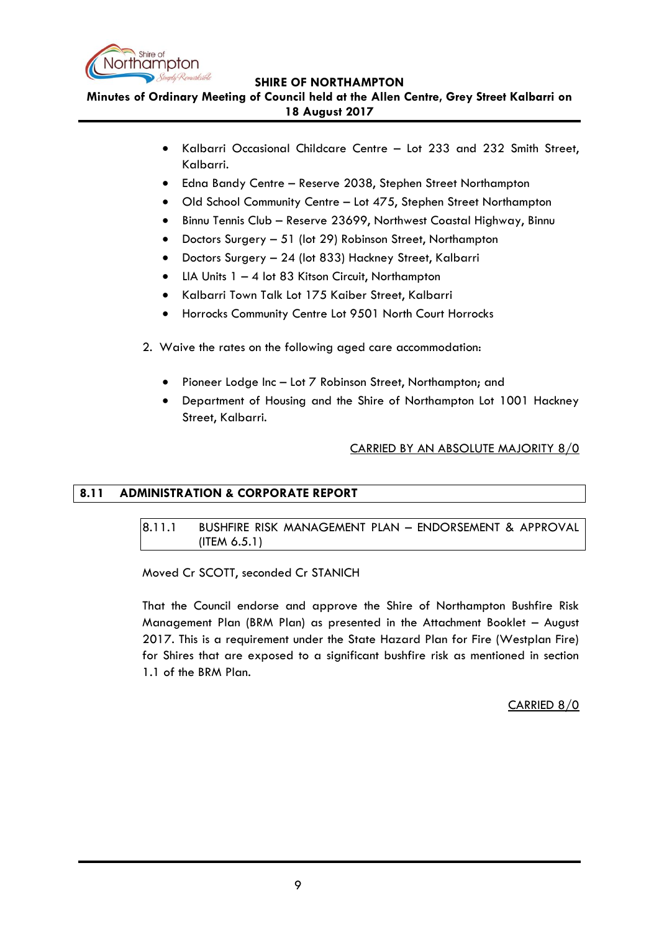

**Minutes of Ordinary Meeting of Council held at the Allen Centre, Grey Street Kalbarri on 18 August 2017**

- Kalbarri Occasional Childcare Centre Lot 233 and 232 Smith Street, Kalbarri.
- Edna Bandy Centre Reserve 2038, Stephen Street Northampton
- Old School Community Centre Lot 475, Stephen Street Northampton
- Binnu Tennis Club Reserve 23699, Northwest Coastal Highway, Binnu
- Doctors Surgery 51 (lot 29) Robinson Street, Northampton
- Doctors Surgery 24 (lot 833) Hackney Street, Kalbarri
- LIA Units 1 4 lot 83 Kitson Circuit, Northampton
- Kalbarri Town Talk Lot 175 Kaiber Street, Kalbarri
- Horrocks Community Centre Lot 9501 North Court Horrocks
- 2. Waive the rates on the following aged care accommodation:
	- Pioneer Lodge Inc Lot 7 Robinson Street, Northampton; and
	- Department of Housing and the Shire of Northampton Lot 1001 Hackney Street, Kalbarri.

# CARRIED BY AN ABSOLUTE MAJORITY 8/0

# <span id="page-8-1"></span><span id="page-8-0"></span>**8.11 ADMINISTRATION & CORPORATE REPORT**

# 8.11.1 BUSHFIRE RISK MANAGEMENT PLAN – ENDORSEMENT & APPROVAL (ITEM 6.5.1)

Moved Cr SCOTT, seconded Cr STANICH

That the Council endorse and approve the Shire of Northampton Bushfire Risk Management Plan (BRM Plan) as presented in the Attachment Booklet – August 2017. This is a requirement under the State Hazard Plan for Fire (Westplan Fire) for Shires that are exposed to a significant bushfire risk as mentioned in section 1.1 of the BRM Plan.

CARRIED 8/0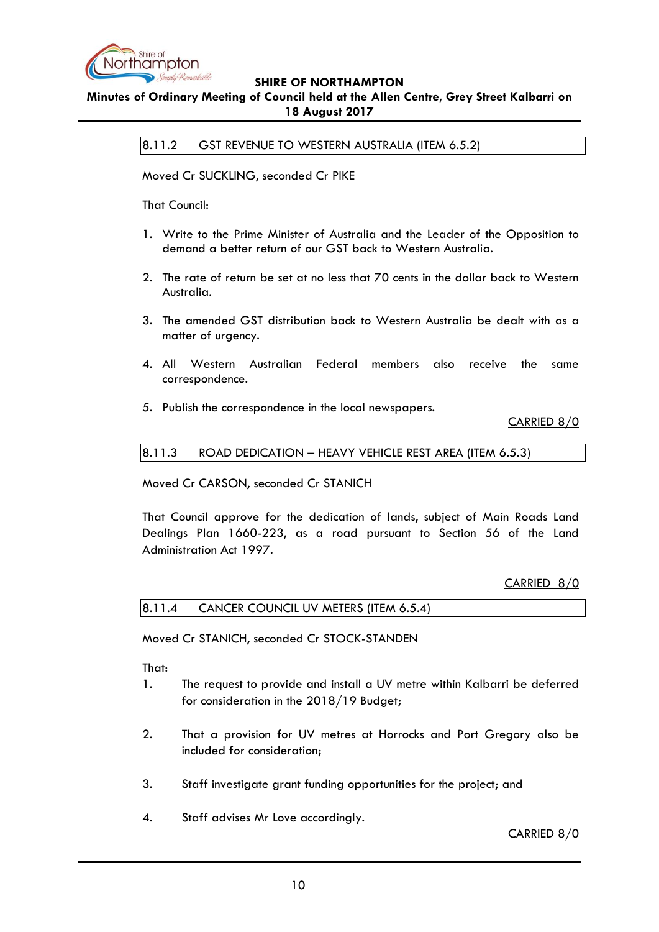

# <span id="page-9-0"></span>**Minutes of Ordinary Meeting of Council held at the Allen Centre, Grey Street Kalbarri on 18 August 2017**

8.11.2 GST REVENUE TO WESTERN AUSTRALIA (ITEM 6.5.2)

Moved Cr SUCKLING, seconded Cr PIKE

That Council:

- 1. Write to the Prime Minister of Australia and the Leader of the Opposition to demand a better return of our GST back to Western Australia.
- 2. The rate of return be set at no less that 70 cents in the dollar back to Western Australia.
- 3. The amended GST distribution back to Western Australia be dealt with as a matter of urgency.
- 4. All Western Australian Federal members also receive the same correspondence.
- 5. Publish the correspondence in the local newspapers.

CARRIED 8/0

<span id="page-9-1"></span>8.11.3 ROAD DEDICATION – HEAVY VEHICLE REST AREA (ITEM 6.5.3)

Moved Cr CARSON, seconded Cr STANICH

That Council approve for the dedication of lands, subject of Main Roads Land Dealings Plan 1660-223, as a road pursuant to Section 56 of the Land Administration Act 1997.

CARRIED 8/0

<span id="page-9-2"></span>

|  |  | 8.11.4 CANCER COUNCIL UV METERS (ITEM 6.5.4) |
|--|--|----------------------------------------------|
|--|--|----------------------------------------------|

Moved Cr STANICH, seconded Cr STOCK-STANDEN

That:

- 1. The request to provide and install a UV metre within Kalbarri be deferred for consideration in the 2018/19 Budget;
- 2. That a provision for UV metres at Horrocks and Port Gregory also be included for consideration;
- 3. Staff investigate grant funding opportunities for the project; and
- 4. Staff advises Mr Love accordingly.

CARRIED 8/0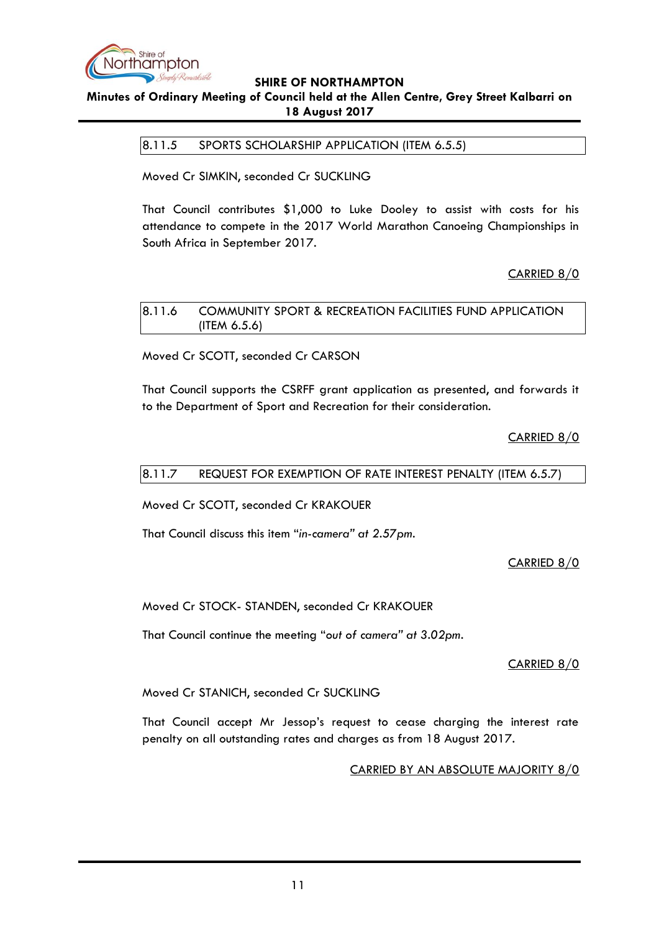

# <span id="page-10-0"></span>**Minutes of Ordinary Meeting of Council held at the Allen Centre, Grey Street Kalbarri on 18 August 2017**

8.11.5 SPORTS SCHOLARSHIP APPLICATION (ITEM 6.5.5)

Moved Cr SIMKIN, seconded Cr SUCKLING

That Council contributes \$1,000 to Luke Dooley to assist with costs for his attendance to compete in the 2017 World Marathon Canoeing Championships in South Africa in September 2017.

# CARRIED 8/0

<span id="page-10-1"></span>8.11.6 COMMUNITY SPORT & RECREATION FACILITIES FUND APPLICATION (ITEM 6.5.6)

Moved Cr SCOTT, seconded Cr CARSON

That Council supports the CSRFF grant application as presented, and forwards it to the Department of Sport and Recreation for their consideration.

CARRIED 8/0

### <span id="page-10-2"></span>8.11.7 REQUEST FOR EXEMPTION OF RATE INTEREST PENALTY (ITEM 6.5.7)

Moved Cr SCOTT, seconded Cr KRAKOUER

That Council discuss this item "*in-camera" at 2.57pm.*

CARRIED 8/0

Moved Cr STOCK- STANDEN, seconded Cr KRAKOUER

That Council continue the meeting "*out of camera" at 3.02pm.*

CARRIED 8/0

Moved Cr STANICH, seconded Cr SUCKLING

That Council accept Mr Jessop"s request to cease charging the interest rate penalty on all outstanding rates and charges as from 18 August 2017.

CARRIED BY AN ABSOLUTE MAJORITY 8/0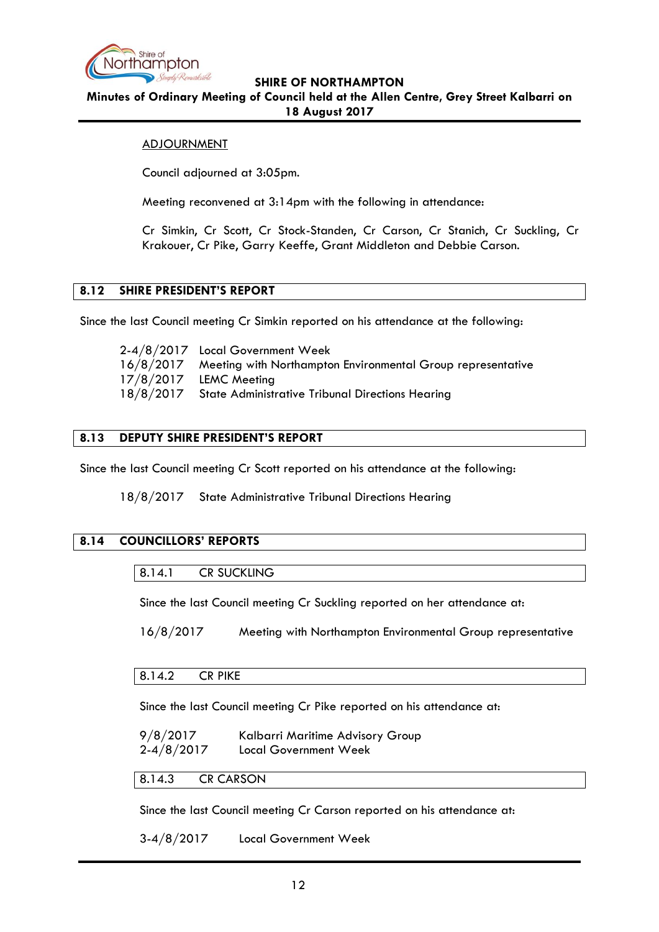

**Minutes of Ordinary Meeting of Council held at the Allen Centre, Grey Street Kalbarri on 18 August 2017**

## ADJOURNMENT

Council adjourned at 3:05pm.

Meeting reconvened at 3:14pm with the following in attendance:

Cr Simkin, Cr Scott, Cr Stock-Standen, Cr Carson, Cr Stanich, Cr Suckling, Cr Krakouer, Cr Pike, Garry Keeffe, Grant Middleton and Debbie Carson.

# <span id="page-11-0"></span>**8.12 SHIRE PRESIDENT'S REPORT**

Since the last Council meeting Cr Simkin reported on his attendance at the following:

| 2-4/8/2017 Local Government Week                                      |
|-----------------------------------------------------------------------|
| 16/8/2017 Meeting with Northampton Environmental Group representative |
| 17/8/2017 LEMC Meeting                                                |
| 18/8/2017 State Administrative Tribunal Directions Hearing            |

# <span id="page-11-1"></span>**8.13 DEPUTY SHIRE PRESIDENT'S REPORT**

Since the last Council meeting Cr Scott reported on his attendance at the following:

18/8/2017 State Administrative Tribunal Directions Hearing

### <span id="page-11-3"></span><span id="page-11-2"></span>**8.14 COUNCILLORS' REPORTS**

Since the last Council meeting Cr Suckling reported on her attendance at:

16/8/2017 Meeting with Northampton Environmental Group representative

### <span id="page-11-4"></span>8.14.2 CR PIKE

Since the last Council meeting Cr Pike reported on his attendance at:

9/8/2017 Kalbarri Maritime Advisory Group 2-4/8/2017 Local Government Week

<span id="page-11-5"></span>8.14.3 CR CARSON

Since the last Council meeting Cr Carson reported on his attendance at:

3-4/8/2017 Local Government Week